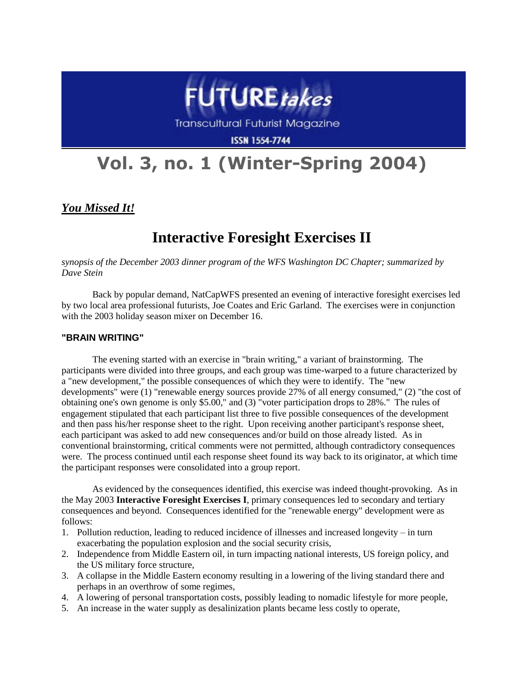

**Transcultural Futurist Magazine** 

**ISSN 1554-7744** 

# **Vol. 3, no. 1 (Winter-Spring 2004)**

*You Missed It!*

# **Interactive Foresight Exercises II**

*synopsis of the December 2003 dinner program of the WFS Washington DC Chapter; summarized by Dave Stein*

Back by popular demand, NatCapWFS presented an evening of interactive foresight exercises led by two local area professional futurists, Joe Coates and Eric Garland. The exercises were in conjunction with the 2003 holiday season mixer on December 16.

#### **"BRAIN WRITING"**

The evening started with an exercise in "brain writing," a variant of brainstorming. The participants were divided into three groups, and each group was time-warped to a future characterized by a "new development," the possible consequences of which they were to identify. The "new developments" were (1) "renewable energy sources provide 27% of all energy consumed," (2) "the cost of obtaining one's own genome is only \$5.00," and (3) "voter participation drops to 28%." The rules of engagement stipulated that each participant list three to five possible consequences of the development and then pass his/her response sheet to the right. Upon receiving another participant's response sheet, each participant was asked to add new consequences and/or build on those already listed. As in conventional brainstorming, critical comments were not permitted, although contradictory consequences were. The process continued until each response sheet found its way back to its originator, at which time the participant responses were consolidated into a group report.

As evidenced by the consequences identified, this exercise was indeed thought-provoking. As in the May 2003 **Interactive Foresight Exercises I**, primary consequences led to secondary and tertiary consequences and beyond. Consequences identified for the "renewable energy" development were as follows:

- 1. Pollution reduction, leading to reduced incidence of illnesses and increased longevity in turn exacerbating the population explosion and the social security crisis,
- 2. Independence from Middle Eastern oil, in turn impacting national interests, US foreign policy, and the US military force structure,
- 3. A collapse in the Middle Eastern economy resulting in a lowering of the living standard there and perhaps in an overthrow of some regimes,
- 4. A lowering of personal transportation costs, possibly leading to nomadic lifestyle for more people,
- 5. An increase in the water supply as desalinization plants became less costly to operate,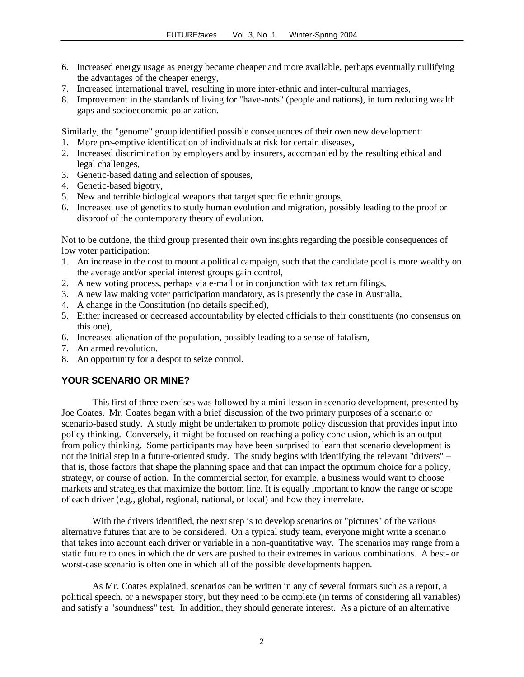- 6. Increased energy usage as energy became cheaper and more available, perhaps eventually nullifying the advantages of the cheaper energy,
- 7. Increased international travel, resulting in more inter-ethnic and inter-cultural marriages,
- 8. Improvement in the standards of living for "have-nots" (people and nations), in turn reducing wealth gaps and socioeconomic polarization.

Similarly, the "genome" group identified possible consequences of their own new development:

- 1. More pre-emptive identification of individuals at risk for certain diseases,
- 2. Increased discrimination by employers and by insurers, accompanied by the resulting ethical and legal challenges,
- 3. Genetic-based dating and selection of spouses,
- 4. Genetic-based bigotry,
- 5. New and terrible biological weapons that target specific ethnic groups,
- 6. Increased use of genetics to study human evolution and migration, possibly leading to the proof or disproof of the contemporary theory of evolution.

Not to be outdone, the third group presented their own insights regarding the possible consequences of low voter participation:

- 1. An increase in the cost to mount a political campaign, such that the candidate pool is more wealthy on the average and/or special interest groups gain control,
- 2. A new voting process, perhaps via e-mail or in conjunction with tax return filings,
- 3. A new law making voter participation mandatory, as is presently the case in Australia,
- 4. A change in the Constitution (no details specified),
- 5. Either increased or decreased accountability by elected officials to their constituents (no consensus on this one),
- 6. Increased alienation of the population, possibly leading to a sense of fatalism,
- 7. An armed revolution,
- 8. An opportunity for a despot to seize control.

## **YOUR SCENARIO OR MINE?**

This first of three exercises was followed by a mini-lesson in scenario development, presented by Joe Coates. Mr. Coates began with a brief discussion of the two primary purposes of a scenario or scenario-based study. A study might be undertaken to promote policy discussion that provides input into policy thinking. Conversely, it might be focused on reaching a policy conclusion, which is an output from policy thinking. Some participants may have been surprised to learn that scenario development is not the initial step in a future-oriented study. The study begins with identifying the relevant "drivers" – that is, those factors that shape the planning space and that can impact the optimum choice for a policy, strategy, or course of action. In the commercial sector, for example, a business would want to choose markets and strategies that maximize the bottom line. It is equally important to know the range or scope of each driver (e.g., global, regional, national, or local) and how they interrelate.

With the drivers identified, the next step is to develop scenarios or "pictures" of the various alternative futures that are to be considered. On a typical study team, everyone might write a scenario that takes into account each driver or variable in a non-quantitative way. The scenarios may range from a static future to ones in which the drivers are pushed to their extremes in various combinations. A best- or worst-case scenario is often one in which all of the possible developments happen.

As Mr. Coates explained, scenarios can be written in any of several formats such as a report, a political speech, or a newspaper story, but they need to be complete (in terms of considering all variables) and satisfy a "soundness" test. In addition, they should generate interest. As a picture of an alternative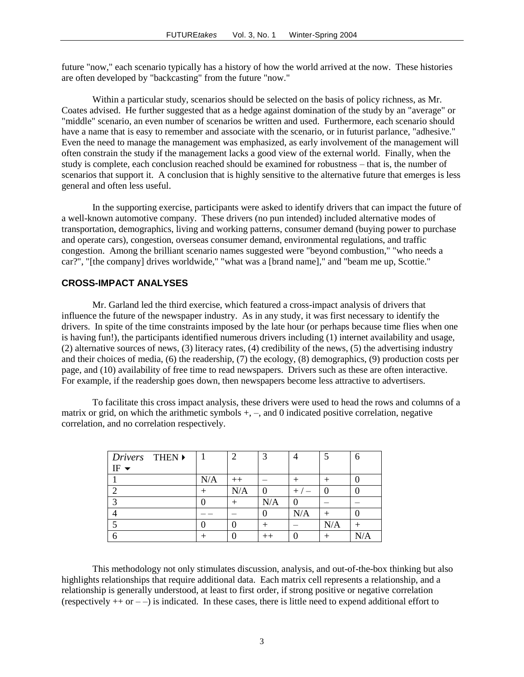future "now," each scenario typically has a history of how the world arrived at the now. These histories are often developed by "backcasting" from the future "now."

Within a particular study, scenarios should be selected on the basis of policy richness, as Mr. Coates advised. He further suggested that as a hedge against domination of the study by an "average" or "middle" scenario, an even number of scenarios be written and used. Furthermore, each scenario should have a name that is easy to remember and associate with the scenario, or in futurist parlance, "adhesive." Even the need to manage the management was emphasized, as early involvement of the management will often constrain the study if the management lacks a good view of the external world. Finally, when the study is complete, each conclusion reached should be examined for robustness – that is, the number of scenarios that support it. A conclusion that is highly sensitive to the alternative future that emerges is less general and often less useful.

In the supporting exercise, participants were asked to identify drivers that can impact the future of a well-known automotive company. These drivers (no pun intended) included alternative modes of transportation, demographics, living and working patterns, consumer demand (buying power to purchase and operate cars), congestion, overseas consumer demand, environmental regulations, and traffic congestion. Among the brilliant scenario names suggested were "beyond combustion," "who needs a car?", "[the company] drives worldwide," "what was a [brand name]," and "beam me up, Scottie."

## **CROSS-IMPACT ANALYSES**

Mr. Garland led the third exercise, which featured a cross-impact analysis of drivers that influence the future of the newspaper industry. As in any study, it was first necessary to identify the drivers. In spite of the time constraints imposed by the late hour (or perhaps because time flies when one is having fun!), the participants identified numerous drivers including (1) internet availability and usage, (2) alternative sources of news, (3) literacy rates, (4) credibility of the news, (5) the advertising industry and their choices of media, (6) the readership, (7) the ecology, (8) demographics, (9) production costs per page, and (10) availability of free time to read newspapers. Drivers such as these are often interactive. For example, if the readership goes down, then newspapers become less attractive to advertisers.

To facilitate this cross impact analysis, these drivers were used to head the rows and columns of a matrix or grid, on which the arithmetic symbols  $+$ ,  $-$ , and 0 indicated positive correlation, negative correlation, and no correlation respectively.

| Drivers THEN<br>$IF \rightarrow$ |     | $\mathcal{D}_{\mathcal{L}}$ | っ                |       |        | 6 |
|----------------------------------|-----|-----------------------------|------------------|-------|--------|---|
|                                  | N/A | $++$                        |                  |       |        |   |
|                                  |     | N/A                         |                  | $+$ . |        |   |
| ◠                                |     |                             | N/A              |       |        |   |
|                                  |     |                             |                  | N/A   | $^{+}$ |   |
|                                  |     |                             |                  |       | N/A    |   |
|                                  |     |                             | $^{\mathrm{++}}$ |       |        |   |

This methodology not only stimulates discussion, analysis, and out-of-the-box thinking but also highlights relationships that require additional data. Each matrix cell represents a relationship, and a relationship is generally understood, at least to first order, if strong positive or negative correlation (respectively  $++$  or  $--$ ) is indicated. In these cases, there is little need to expend additional effort to